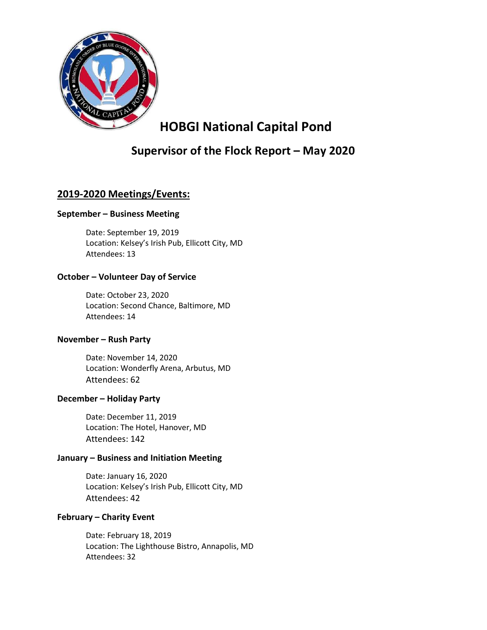

# HOBGI National Capital Pond

# Supervisor of the Flock Report – May 2020

## 2019-2020 Meetings/Events:

#### September – Business Meeting

Date: September 19, 2019 Location: Kelsey's Irish Pub, Ellicott City, MD Attendees: 13

#### October – Volunteer Day of Service

 Date: October 23, 2020 Location: Second Chance, Baltimore, MD Attendees: 14

#### November – Rush Party

Date: November 14, 2020 Location: Wonderfly Arena, Arbutus, MD Attendees: 62

#### December – Holiday Party

 Date: December 11, 2019 Location: The Hotel, Hanover, MD Attendees: 142

#### January – Business and Initiation Meeting

Date: January 16, 2020 Location: Kelsey's Irish Pub, Ellicott City, MD Attendees: 42

#### February – Charity Event

 Date: February 18, 2019 Location: The Lighthouse Bistro, Annapolis, MD Attendees: 32